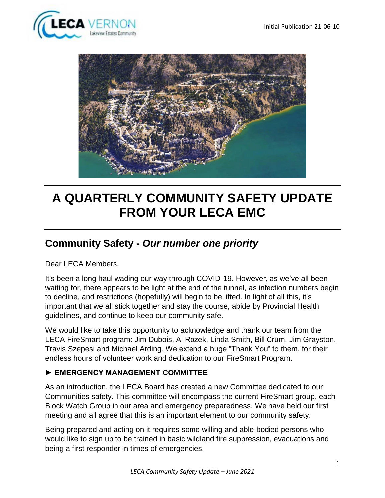



# **A QUARTERLY COMMUNITY SAFETY UPDATE FROM YOUR LECA EMC**

# **Community Safety -** *Our number one priority*

Dear LECA Members,

It's been a long haul wading our way through COVID-19. However, as we've all been waiting for, there appears to be light at the end of the tunnel, as infection numbers begin to decline, and restrictions (hopefully) will begin to be lifted. In light of all this, it's important that we all stick together and stay the course, abide by Provincial Health guidelines, and continue to keep our community safe.

We would like to take this opportunity to acknowledge and thank our team from the LECA FireSmart program: Jim Dubois, Al Rozek, Linda Smith, Bill Crum, Jim Grayston, Travis Szepesi and Michael Arding. We extend a huge "Thank You" to them, for their endless hours of volunteer work and dedication to our FireSmart Program.

#### **► EMERGENCY MANAGEMENT COMMITTEE**

As an introduction, the LECA Board has created a new Committee dedicated to our Communities safety. This committee will encompass the current FireSmart group, each Block Watch Group in our area and emergency preparedness. We have held our first meeting and all agree that this is an important element to our community safety.

Being prepared and acting on it requires some willing and able-bodied persons who would like to sign up to be trained in basic wildland fire suppression, evacuations and being a first responder in times of emergencies.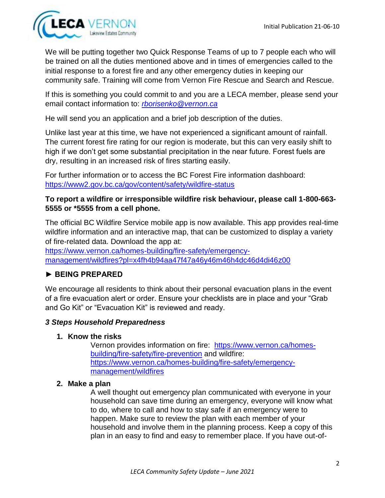

We will be putting together two Quick Response Teams of up to 7 people each who will be trained on all the duties mentioned above and in times of emergencies called to the initial response to a forest fire and any other emergency duties in keeping our community safe. Training will come from Vernon Fire Rescue and Search and Rescue.

If this is something you could commit to and you are a LECA member, please send your email contact information to: *[rborisenko@vernon.ca](mailto:rborisenko@vernon.ca)*

He will send you an application and a brief job description of the duties.

Unlike last year at this time, we have not experienced a significant amount of rainfall. The current forest fire rating for our region is moderate, but this can very easily shift to high if we don't get some substantial precipitation in the near future. Forest fuels are dry, resulting in an increased risk of fires starting easily.

For further information or to access the BC Forest Fire information dashboard: <https://www2.gov.bc.ca/gov/content/safety/wildfire-status>

#### **To report a wildfire or irresponsible wildfire risk behaviour, please call 1-800-663- 5555 or \*5555 from a cell phone.**

The official BC Wildfire Service mobile app is now available. This app provides real-time wildfire information and an interactive map, that can be customized to display a variety of fire-related data. Download the app at:

[https://www.vernon.ca/homes-building/fire-safety/emergency](https://www.vernon.ca/homes-building/fire-safety/emergency-management/wildfires?pl=x4fh4b94aa47f47a46y46m46h4dc46d4di46z00)[management/wildfires?pl=x4fh4b94aa47f47a46y46m46h4dc46d4di46z00](https://www.vernon.ca/homes-building/fire-safety/emergency-management/wildfires?pl=x4fh4b94aa47f47a46y46m46h4dc46d4di46z00)

# **► BEING PREPARED**

We encourage all residents to think about their personal evacuation plans in the event of a fire evacuation alert or order. Ensure your checklists are in place and your "Grab and Go Kit" or "Evacuation Kit" is reviewed and ready.

#### *3 Steps Household Preparedness*

#### **1. Know the risks**

Vernon provides information on fire: [https://www.vernon.ca/homes](https://www.vernon.ca/homes-building/fire-safety/fire-prevention)[building/fire-safety/fire-prevention](https://www.vernon.ca/homes-building/fire-safety/fire-prevention) and wildfire: [https://www.vernon.ca/homes-building/fire-safety/emergency](https://www.vernon.ca/homes-building/fire-safety/emergency-management/wildfires)[management/wildfires](https://www.vernon.ca/homes-building/fire-safety/emergency-management/wildfires)

#### **2. Make a plan**

A well thought out emergency plan communicated with everyone in your household can save time during an emergency, everyone will know what to do, where to call and how to stay safe if an emergency were to happen. Make sure to review the plan with each member of your household and involve them in the planning process. Keep a copy of this plan in an easy to find and easy to remember place. If you have out-of-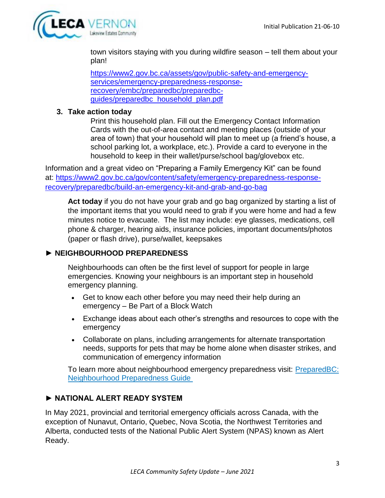

town visitors staying with you during wildfire season – tell them about your plan!

[https://www2.gov.bc.ca/assets/gov/public-safety-and-emergency](https://www2.gov.bc.ca/assets/gov/public-safety-and-emergency-services/emergency-preparedness-response-recovery/embc/preparedbc/preparedbc-guides/preparedbc_household_plan.pdf)[services/emergency-preparedness-response](https://www2.gov.bc.ca/assets/gov/public-safety-and-emergency-services/emergency-preparedness-response-recovery/embc/preparedbc/preparedbc-guides/preparedbc_household_plan.pdf)[recovery/embc/preparedbc/preparedbc](https://www2.gov.bc.ca/assets/gov/public-safety-and-emergency-services/emergency-preparedness-response-recovery/embc/preparedbc/preparedbc-guides/preparedbc_household_plan.pdf)[guides/preparedbc\\_household\\_plan.pdf](https://www2.gov.bc.ca/assets/gov/public-safety-and-emergency-services/emergency-preparedness-response-recovery/embc/preparedbc/preparedbc-guides/preparedbc_household_plan.pdf)

#### **3. Take action today**

Print this household plan. Fill out the Emergency Contact Information Cards with the out-of-area contact and meeting places (outside of your area of town) that your household will plan to meet up (a friend's house, a school parking lot, a workplace, etc.). Provide a card to everyone in the household to keep in their wallet/purse/school bag/glovebox etc.

Information and a great video on "Preparing a Family Emergency Kit" can be found at: [https://www2.gov.bc.ca/gov/content/safety/emergency-preparedness-response](https://www2.gov.bc.ca/gov/content/safety/emergency-preparedness-response-recovery/preparedbc/build-an-emergency-kit-and-grab-and-go-bag)[recovery/preparedbc/build-an-emergency-kit-and-grab-and-go-bag](https://www2.gov.bc.ca/gov/content/safety/emergency-preparedness-response-recovery/preparedbc/build-an-emergency-kit-and-grab-and-go-bag)

**Act today** if you do not have your grab and go bag organized by starting a list of the important items that you would need to grab if you were home and had a few minutes notice to evacuate. The list may include: eye glasses, medications, cell phone & charger, hearing aids, insurance policies, important documents/photos (paper or flash drive), purse/wallet, keepsakes

#### **► NEIGHBOURHOOD PREPAREDNESS**

Neighbourhoods can often be the first level of support for people in large emergencies. Knowing your neighbours is an important step in household emergency planning.

- Get to know each other before you may need their help during an emergency – Be Part of a Block Watch
- Exchange ideas about each other's strengths and resources to cope with the emergency
- Collaborate on plans, including arrangements for alternate transportation needs, supports for pets that may be home alone when disaster strikes, and communication of emergency information

To learn more about neighbourhood emergency preparedness visit: [PreparedBC:](https://www2.gov.bc.ca/assets/gov/public-safety-and-emergency-services/emergency-preparedness-response-recovery/embc/preparedbc/preparedbc-guides/preparedbc_neighbourhood_guide.pdf)  [Neighbourhood Preparedness Guide](https://www2.gov.bc.ca/assets/gov/public-safety-and-emergency-services/emergency-preparedness-response-recovery/embc/preparedbc/preparedbc-guides/preparedbc_neighbourhood_guide.pdf)

#### **► NATIONAL ALERT READY SYSTEM**

In May 2021, provincial and territorial emergency officials across Canada, with the exception of Nunavut, Ontario, Quebec, Nova Scotia, the Northwest Territories and Alberta, conducted tests of the National Public Alert System (NPAS) known as Alert Ready.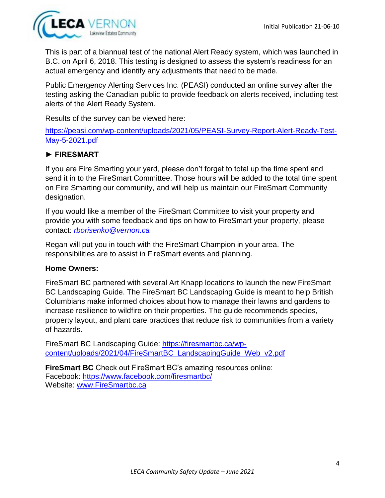

This is part of a biannual test of the national Alert Ready system, which was launched in B.C. on April 6, 2018. This testing is designed to assess the system's readiness for an actual emergency and identify any adjustments that need to be made.

Public Emergency Alerting Services Inc. (PEASI) conducted an online survey after the testing asking the Canadian public to provide feedback on alerts received, including test alerts of the Alert Ready System.

Results of the survey can be viewed here:

[https://peasi.com/wp-content/uploads/2021/05/PEASI-Survey-Report-Alert-Ready-Test-](https://peasi.com/wp-content/uploads/2021/05/PEASI-Survey-Report-Alert-Ready-Test-May-5-2021.pdf)[May-5-2021.pdf](https://peasi.com/wp-content/uploads/2021/05/PEASI-Survey-Report-Alert-Ready-Test-May-5-2021.pdf)

#### **► FIRESMART**

If you are Fire Smarting your yard, please don't forget to total up the time spent and send it in to the FireSmart Committee. Those hours will be added to the total time spent on Fire Smarting our community, and will help us maintain our FireSmart Community designation.

If you would like a member of the FireSmart Committee to visit your property and provide you with some feedback and tips on how to FireSmart your property, please contact: *[rborisenko@vernon.ca](mailto:rborisenko@vernon.ca)* 

Regan will put you in touch with the FireSmart Champion in your area. The responsibilities are to assist in FireSmart events and planning.

#### **Home Owners:**

FireSmart BC partnered with several Art Knapp locations to launch the new FireSmart BC Landscaping Guide. The FireSmart BC Landscaping Guide is meant to help British Columbians make informed choices about how to manage their lawns and gardens to increase resilience to wildfire on their properties. The guide recommends species, property layout, and plant care practices that reduce risk to communities from a variety of hazards.

FireSmart BC Landscaping Guide: [https://firesmartbc.ca/wp](https://firesmartbc.ca/wp-content/uploads/2021/04/FireSmartBC_LandscapingGuide_Web_v2.pdf)[content/uploads/2021/04/FireSmartBC\\_LandscapingGuide\\_Web\\_v2.pdf](https://firesmartbc.ca/wp-content/uploads/2021/04/FireSmartBC_LandscapingGuide_Web_v2.pdf)

**FireSmart BC** Check out FireSmart BC's amazing resources online: Facebook:<https://www.facebook.com/firesmartbc/> Website: [www.FireSmartbc.ca](http://www.firesmartbc.ca/)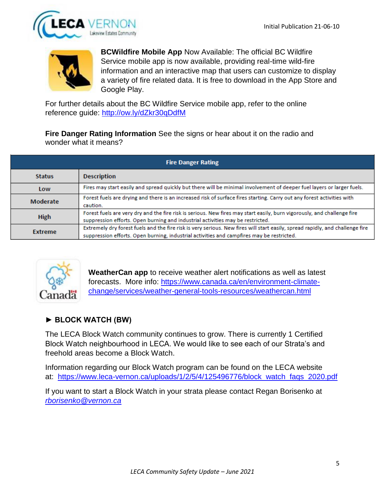



**BCWildfire Mobile App** Now Available: The official BC Wildfire Service mobile app is now available, providing real-time wild-fire information and an interactive map that users can customize to display a variety of fire related data. It is free to download in the App Store and Google Play.

For further details about the BC Wildfire Service mobile app, refer to the online reference guide:<http://ow.ly/dZkr30qDdfM>

**Fire Danger Rating Information** See the signs or hear about it on the radio and wonder what it means?

| <b>Fire Danger Rating</b> |                                                                                                                                                                                                                            |
|---------------------------|----------------------------------------------------------------------------------------------------------------------------------------------------------------------------------------------------------------------------|
| <b>Status</b>             | <b>Description</b>                                                                                                                                                                                                         |
| Low                       | Fires may start easily and spread quickly but there will be minimal involvement of deeper fuel layers or larger fuels.                                                                                                     |
| Moderate                  | Forest fuels are drying and there is an increased risk of surface fires starting. Carry out any forest activities with<br>caution.                                                                                         |
| <b>High</b>               | Forest fuels are very dry and the fire risk is serious. New fires may start easily, burn vigorously, and challenge fire<br>suppression efforts. Open burning and industrial activities may be restricted.                  |
| <b>Extreme</b>            | Extremely dry forest fuels and the fire risk is very serious. New fires will start easily, spread rapidly, and challenge fire<br>suppression efforts. Open burning, industrial activities and campfires may be restricted. |



**WeatherCan app** to receive weather alert notifications as well as latest forecasts. More info: [https://www.canada.ca/en/environment-climate](https://www.canada.ca/en/environment-climate-change/services/weather-general-tools-resources/weathercan.html)[change/services/weather-general-tools-resources/weathercan.html](https://www.canada.ca/en/environment-climate-change/services/weather-general-tools-resources/weathercan.html)

# **► BLOCK WATCH (BW)**

The LECA Block Watch community continues to grow. There is currently 1 Certified Block Watch neighbourhood in LECA. We would like to see each of our Strata's and freehold areas become a Block Watch.

Information regarding our Block Watch program can be found on the LECA website at: [https://www.leca-vernon.ca/uploads/1/2/5/4/125496776/block\\_watch\\_faqs\\_2020.pdf](https://www.leca-vernon.ca/uploads/1/2/5/4/125496776/block_watch_faqs_2020.pdf)

If you want to start a Block Watch in your strata please contact Regan Borisenko at *[rborisenko@vernon.ca](mailto:rborisenko@vernon.ca)*